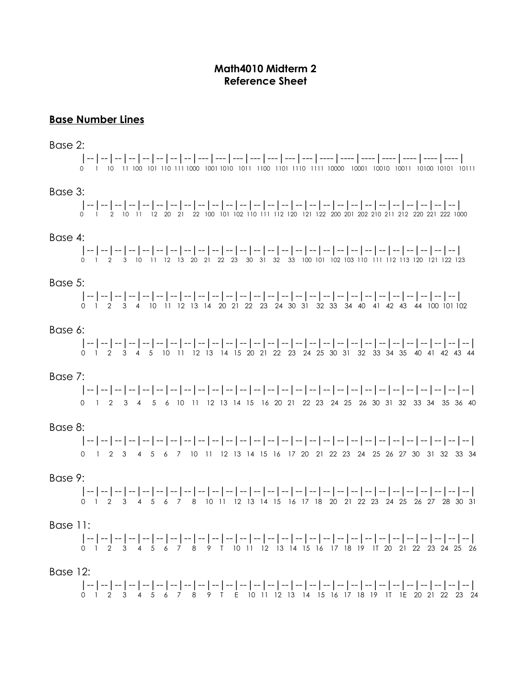# **Math4010 Midterm 2 Reference Sheet**

## **Base Number Lines**

#### Base 2:

|--|--|--|--|--|--|--|--|---|---|---|---|---|---|---|----|----|----|----|----|----|----| 0 1 10 11 100 101 110 111 1000 1001 1010 1011 1100 1101 1110 1111 10000 10001 10010 10011 10100 10101 10111

# Base 3:

|--|--|--|--|--|--|--|--|--|--|--|--|--|--|--|--|--|--|--|--|--|--|--|--|--|--|--| 0 1 2 10 11 12 20 21 22 100 101 102 110 111 112 120 121 122 200 201 202 210 211 212 220 221 222 1000

#### Base 4:

|--|--|--|--|--|--|--|--|--|--|--|--|--|--|--|--|--|--|--|--|--|--|--|--|--|--|--| 0 1 2 3 10 11 12 13 20 21 22 23 30 31 32 33 100 101 102 103 110 111 112 113 120 121 122 123

### Base 5:

|--|--|--|--|--|--|--|--|--|--|--|--|--|--|--|--|--|--|--|--|--|--|--|--|--|--|--| 0 1 2 3 4 10 11 12 13 14 20 21 22 23 24 30 31 32 33 34 40 41 42 43 44 100 101 102

#### Base 6:

|--|--|--|--|--|--|--|--|--|--|--|--|--|--|--|--|--|--|--|--|--|--|--|--|--|--|--|--| 0 1 2 3 4 5 10 11 12 13 14 15 20 21 22 23 24 25 30 31 32 33 34 35 40 41 42 43 44

#### Base 7:

|--|--|--|--|--|--|--|--|--|--|--|--|--|--|--|--|--|--|--|--|--|--|--|--|--|--|--|--| 0 1 2 3 4 5 6 10 11 12 13 14 15 16 20 21 22 23 24 25 26 30 31 32 33 34 35 36 40

#### Base 8:

|--|--|--|--|--|--|--|--|--|--|--|--|--|--|--|--|--|--|--|--|--|--|--|--|--|--|--|--| 0 1 2 3 4 5 6 7 10 11 12 13 14 15 16 17 20 21 22 23 24 25 26 27 30 31 32 33 34

#### Base 9:

|--|--|--|--|--|--|--|--|--|--|--|--|--|--|--|--|--|--|--|--|--|--|--|--|--|--|--|--| 0 1 2 3 4 5 6 7 8 10 11 12 13 14 15 16 17 18 20 21 22 23 24 25 26 27 28 30 31

### Base 11:

|--|--|--|--|--|--|--|--|--|--|--|--|--|--|--|--|--|--|--|--|--|--|--|--|--|--|--|--| 0 1 2 3 4 5 6 7 8 9 T 10 11 12 13 14 15 16 17 18 19 1T 20 21 22 23 24 25 26

### Base 12:

|--|--|--|--|--|--|--|--|--|--|--|--|--|--|--|--|--|--|--|--|--|--|--|--|--|--|--|--| 0 1 2 3 4 5 6 7 8 9 T E 10 11 12 13 14 15 16 17 18 19 1T 1E 20 21 22 23 24